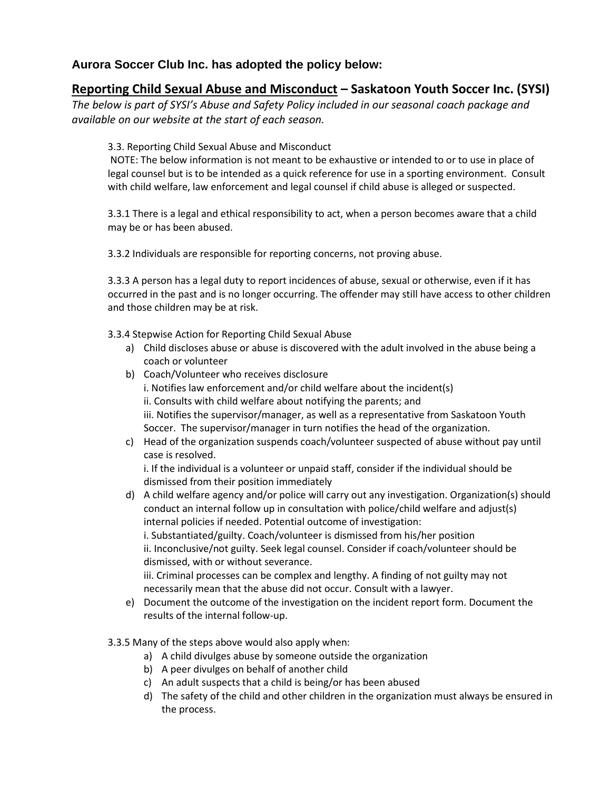## **Aurora Soccer Club Inc. has adopted the policy below:**

## **Reporting Child Sexual Abuse and Misconduct – Saskatoon Youth Soccer Inc. (SYSI)**

*The below is part of SYSI's Abuse and Safety Policy included in our seasonal coach package and available on our website at the start of each season.*

3.3. Reporting Child Sexual Abuse and Misconduct

NOTE: The below information is not meant to be exhaustive or intended to or to use in place of legal counsel but is to be intended as a quick reference for use in a sporting environment. Consult with child welfare, law enforcement and legal counsel if child abuse is alleged or suspected.

3.3.1 There is a legal and ethical responsibility to act, when a person becomes aware that a child may be or has been abused.

3.3.2 Individuals are responsible for reporting concerns, not proving abuse.

3.3.3 A person has a legal duty to report incidences of abuse, sexual or otherwise, even if it has occurred in the past and is no longer occurring. The offender may still have access to other children and those children may be at risk.

3.3.4 Stepwise Action for Reporting Child Sexual Abuse

- a) Child discloses abuse or abuse is discovered with the adult involved in the abuse being a coach or volunteer
- b) Coach/Volunteer who receives disclosure i. Notifies law enforcement and/or child welfare about the incident(s) ii. Consults with child welfare about notifying the parents; and iii. Notifies the supervisor/manager, as well as a representative from Saskatoon Youth Soccer. The supervisor/manager in turn notifies the head of the organization.
- c) Head of the organization suspends coach/volunteer suspected of abuse without pay until case is resolved.

i. If the individual is a volunteer or unpaid staff, consider if the individual should be dismissed from their position immediately

- d) A child welfare agency and/or police will carry out any investigation. Organization(s) should conduct an internal follow up in consultation with police/child welfare and adjust(s) internal policies if needed. Potential outcome of investigation: i. Substantiated/guilty. Coach/volunteer is dismissed from his/her position ii. Inconclusive/not guilty. Seek legal counsel. Consider if coach/volunteer should be dismissed, with or without severance. iii. Criminal processes can be complex and lengthy. A finding of not guilty may not necessarily mean that the abuse did not occur. Consult with a lawyer.
- e) Document the outcome of the investigation on the incident report form. Document the results of the internal follow-up.
- 3.3.5 Many of the steps above would also apply when:
	- a) A child divulges abuse by someone outside the organization
	- b) A peer divulges on behalf of another child
	- c) An adult suspects that a child is being/or has been abused
	- d) The safety of the child and other children in the organization must always be ensured in the process.